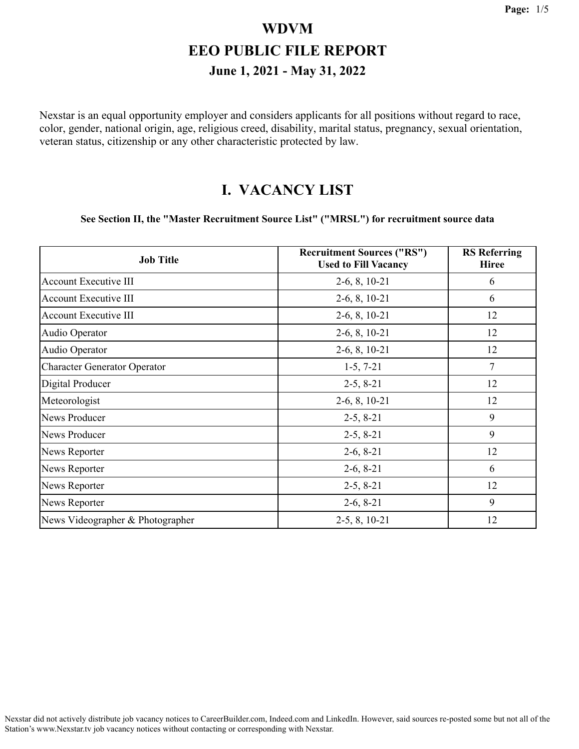Nexstar is an equal opportunity employer and considers applicants for all positions without regard to race, color, gender, national origin, age, religious creed, disability, marital status, pregnancy, sexual orientation, veteran status, citizenship or any other characteristic protected by law.

#### **I. VACANCY LIST**

#### **See Section II, the "Master Recruitment Source List" ("MRSL") for recruitment source data**

| <b>Job Title</b>                    | <b>Recruitment Sources ("RS")</b><br><b>Used to Fill Vacancy</b> | <b>RS</b> Referring<br><b>Hiree</b> |
|-------------------------------------|------------------------------------------------------------------|-------------------------------------|
| <b>Account Executive III</b>        | $2-6, 8, 10-21$                                                  | 6                                   |
| Account Executive III               | $2-6, 8, 10-21$                                                  | 6                                   |
| <b>Account Executive III</b>        | $2-6, 8, 10-21$                                                  | 12                                  |
| Audio Operator                      | $2-6, 8, 10-21$                                                  | 12                                  |
| Audio Operator                      | $2-6, 8, 10-21$                                                  | 12                                  |
| <b>Character Generator Operator</b> | $1-5, 7-21$                                                      | 7                                   |
| Digital Producer                    | $2-5, 8-21$                                                      | 12                                  |
| Meteorologist                       | $2-6, 8, 10-21$                                                  | 12                                  |
| <b>News Producer</b>                | $2-5, 8-21$                                                      | 9                                   |
| <b>News Producer</b>                | $2-5, 8-21$                                                      | 9                                   |
| News Reporter                       | $2-6, 8-21$                                                      | 12                                  |
| News Reporter                       | $2-6, 8-21$                                                      | 6                                   |
| News Reporter                       | $2-5, 8-21$                                                      | 12                                  |
| News Reporter                       | $2-6, 8-21$                                                      | 9                                   |
| News Videographer & Photographer    | $2-5, 8, 10-21$                                                  | 12                                  |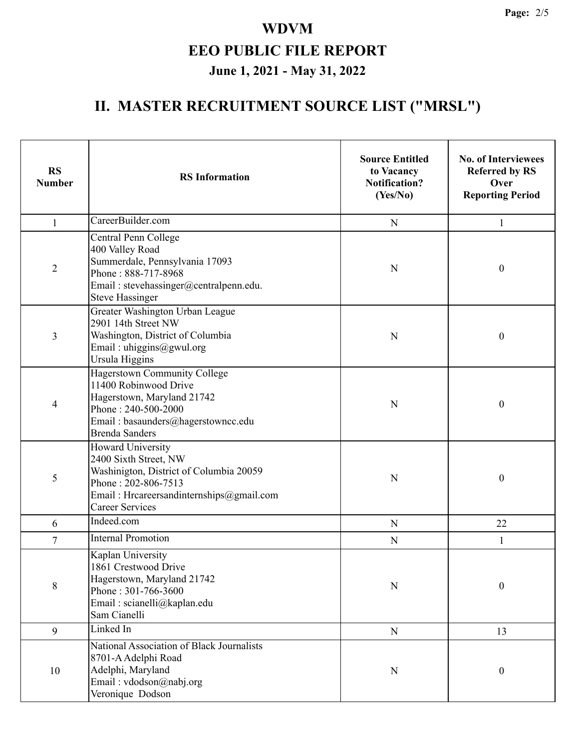# **II. MASTER RECRUITMENT SOURCE LIST ("MRSL")**

| <b>RS</b><br><b>Number</b> | <b>RS</b> Information                                                                                                                                                                     | <b>Source Entitled</b><br>to Vacancy<br><b>Notification?</b><br>(Yes/No) | <b>No. of Interviewees</b><br><b>Referred by RS</b><br>Over<br><b>Reporting Period</b> |
|----------------------------|-------------------------------------------------------------------------------------------------------------------------------------------------------------------------------------------|--------------------------------------------------------------------------|----------------------------------------------------------------------------------------|
| $\mathbf{1}$               | CareerBuilder.com                                                                                                                                                                         | $\mathbf N$                                                              | 1                                                                                      |
| $\overline{2}$             | Central Penn College<br>400 Valley Road<br>Summerdale, Pennsylvania 17093<br>Phone: 888-717-8968<br>Email: stevehassinger@centralpenn.edu.<br><b>Steve Hassinger</b>                      | N                                                                        | $\boldsymbol{0}$                                                                       |
| 3                          | Greater Washington Urban League<br>2901 14th Street NW<br>Washington, District of Columbia<br>Email: uhiggins@gwul.org<br>Ursula Higgins                                                  | N                                                                        | $\boldsymbol{0}$                                                                       |
| 4                          | <b>Hagerstown Community College</b><br>11400 Robinwood Drive<br>Hagerstown, Maryland 21742<br>Phone: 240-500-2000<br>Email: basaunders@hagerstowncc.edu<br><b>Brenda Sanders</b>          | N                                                                        | $\boldsymbol{0}$                                                                       |
| 5                          | <b>Howard University</b><br>2400 Sixth Street, NW<br>Washinigton, District of Columbia 20059<br>Phone: 202-806-7513<br>Email: Hrcareersandinternships@gmail.com<br><b>Career Services</b> | N                                                                        | $\boldsymbol{0}$                                                                       |
| 6                          | Indeed.com                                                                                                                                                                                | $\mathbf N$                                                              | 22                                                                                     |
| $\overline{7}$             | <b>Internal Promotion</b>                                                                                                                                                                 | N                                                                        | 1                                                                                      |
| $\,$ $\,$                  | Kaplan University<br>1861 Crestwood Drive<br>Hagerstown, Maryland 21742<br>Phone: 301-766-3600<br>Email: scianelli@kaplan.edu<br>Sam Cianelli                                             | $\mathbf N$                                                              | $\boldsymbol{0}$                                                                       |
| 9                          | Linked In                                                                                                                                                                                 | ${\bf N}$                                                                | 13                                                                                     |
| 10                         | National Association of Black Journalists<br>8701-A Adelphi Road<br>Adelphi, Maryland<br>Email: vdodson@nabj.org<br>Veronique Dodson                                                      | N                                                                        | $\boldsymbol{0}$                                                                       |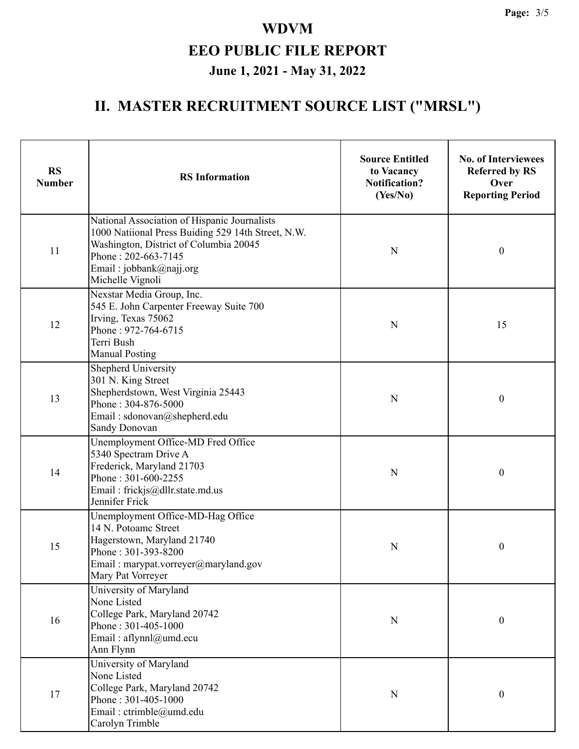# **II. MASTER RECRUITMENT SOURCE LIST ("MRSL")**

| <b>RS</b><br><b>Number</b> | <b>RS</b> Information                                                                                                                                                                                              | <b>Source Entitled</b><br>to Vacancy<br><b>Notification?</b><br>(Yes/No) | <b>No. of Interviewees</b><br><b>Referred by RS</b><br>Over<br><b>Reporting Period</b> |
|----------------------------|--------------------------------------------------------------------------------------------------------------------------------------------------------------------------------------------------------------------|--------------------------------------------------------------------------|----------------------------------------------------------------------------------------|
| 11                         | National Association of Hispanic Journalists<br>1000 Natiional Press Buiding 529 14th Street, N.W.<br>Washington, District of Columbia 20045<br>Phone: 202-663-7145<br>Email: jobbank@najj.org<br>Michelle Vignoli | $\mathbf N$                                                              | $\boldsymbol{0}$                                                                       |
| 12                         | Nexstar Media Group, Inc.<br>545 E. John Carpenter Freeway Suite 700<br>Irving, Texas 75062<br>Phone: 972-764-6715<br>Terri Bush<br><b>Manual Posting</b>                                                          | N                                                                        | 15                                                                                     |
| 13                         | Shepherd University<br>301 N. King Street<br>Shepherdstown, West Virginia 25443<br>Phone: 304-876-5000<br>Email: sdonovan@shepherd.edu<br><b>Sandy Donovan</b>                                                     | N                                                                        | $\boldsymbol{0}$                                                                       |
| 14                         | Unemployment Office-MD Fred Office<br>5340 Spectram Drive A<br>Frederick, Maryland 21703<br>Phone: 301-600-2255<br>Email: frickjs@dllr.state.md.us<br>Jennifer Frick                                               | N                                                                        | $\boldsymbol{0}$                                                                       |
| 15                         | Unemployment Office-MD-Hag Office<br>14 N. Potoamc Street<br>Hagerstown, Maryland 21740<br>Phone: 301-393-8200<br>Email: marypat.vorreyer@maryland.gov<br>Mary Pat Vorreyer                                        | N                                                                        | $\boldsymbol{0}$                                                                       |
| 16                         | University of Maryland<br>None Listed<br>College Park, Maryland 20742<br>Phone: 301-405-1000<br>Email: aflynnl@umd.ecu<br>Ann Flynn                                                                                | ${\bf N}$                                                                | $\boldsymbol{0}$                                                                       |
| 17                         | University of Maryland<br>None Listed<br>College Park, Maryland 20742<br>Phone: 301-405-1000<br>Email: ctrimble@umd.edu<br>Carolyn Trimble                                                                         | N                                                                        | $\boldsymbol{0}$                                                                       |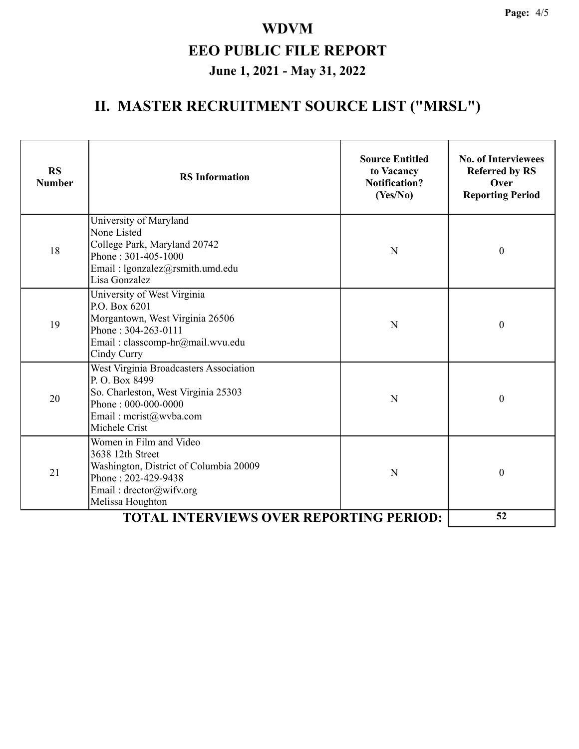# **II. MASTER RECRUITMENT SOURCE LIST ("MRSL")**

| <b>RS</b><br><b>Number</b>                     | <b>RS</b> Information                                                                                                                                                   | <b>Source Entitled</b><br>to Vacancy<br><b>Notification?</b><br>(Yes/No) | <b>No. of Interviewees</b><br><b>Referred by RS</b><br>Over<br><b>Reporting Period</b> |
|------------------------------------------------|-------------------------------------------------------------------------------------------------------------------------------------------------------------------------|--------------------------------------------------------------------------|----------------------------------------------------------------------------------------|
| 18                                             | University of Maryland<br>None Listed<br>College Park, Maryland 20742<br>Phone: 301-405-1000<br>Email: lgonzalez@rsmith.umd.edu<br>Lisa Gonzalez                        | N                                                                        | $\boldsymbol{0}$                                                                       |
| 19                                             | University of West Virginia<br>P.O. Box 6201<br>Morgantown, West Virginia 26506<br>Phone: 304-263-0111<br>Email: classcomp-hr@mail.wvu.edu<br>Cindy Curry               | N                                                                        | $\boldsymbol{0}$                                                                       |
| 20                                             | West Virginia Broadcasters Association<br>P.O. Box 8499<br>So. Charleston, West Virginia 25303<br>Phone: 000-000-0000<br>Email: mcrist@wvba.com<br>Michele Crist        | N                                                                        | $\boldsymbol{0}$                                                                       |
| 21                                             | Women in Film and Video<br>3638 12th Street<br>Washington, District of Columbia 20009<br>Phone: 202-429-9438<br>Email: $\text{drector}(a)$ wifv.org<br>Melissa Houghton | N                                                                        | $\boldsymbol{0}$                                                                       |
| <b>TOTAL INTERVIEWS OVER REPORTING PERIOD:</b> |                                                                                                                                                                         |                                                                          | 52                                                                                     |